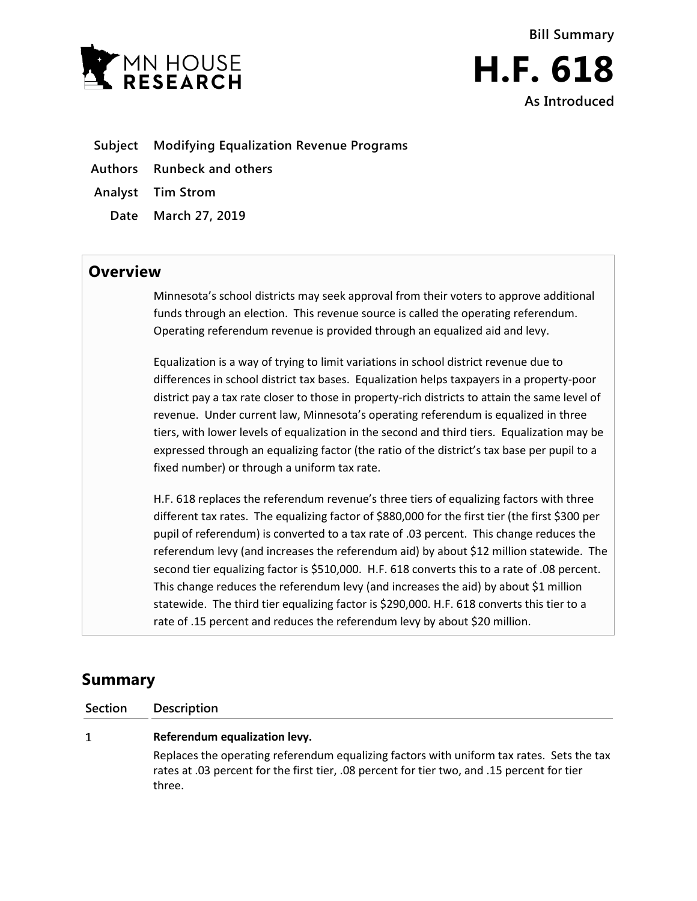

- **Subject Modifying Equalization Revenue Programs**
- **Authors Runbeck and others**
- **Analyst Tim Strom**
	- **Date March 27, 2019**

## **Overview**

Minnesota's school districts may seek approval from their voters to approve additional funds through an election. This revenue source is called the operating referendum. Operating referendum revenue is provided through an equalized aid and levy.

Equalization is a way of trying to limit variations in school district revenue due to differences in school district tax bases. Equalization helps taxpayers in a property-poor district pay a tax rate closer to those in property-rich districts to attain the same level of revenue. Under current law, Minnesota's operating referendum is equalized in three tiers, with lower levels of equalization in the second and third tiers. Equalization may be expressed through an equalizing factor (the ratio of the district's tax base per pupil to a fixed number) or through a uniform tax rate.

H.F. 618 replaces the referendum revenue's three tiers of equalizing factors with three different tax rates. The equalizing factor of \$880,000 for the first tier (the first \$300 per pupil of referendum) is converted to a tax rate of .03 percent. This change reduces the referendum levy (and increases the referendum aid) by about \$12 million statewide. The second tier equalizing factor is \$510,000. H.F. 618 converts this to a rate of .08 percent. This change reduces the referendum levy (and increases the aid) by about \$1 million statewide. The third tier equalizing factor is \$290,000. H.F. 618 converts this tier to a rate of .15 percent and reduces the referendum levy by about \$20 million.

# **Summary**

**Section Description**

#### $\mathbf{1}$ **Referendum equalization levy.**

Replaces the operating referendum equalizing factors with uniform tax rates. Sets the tax rates at .03 percent for the first tier, .08 percent for tier two, and .15 percent for tier three.